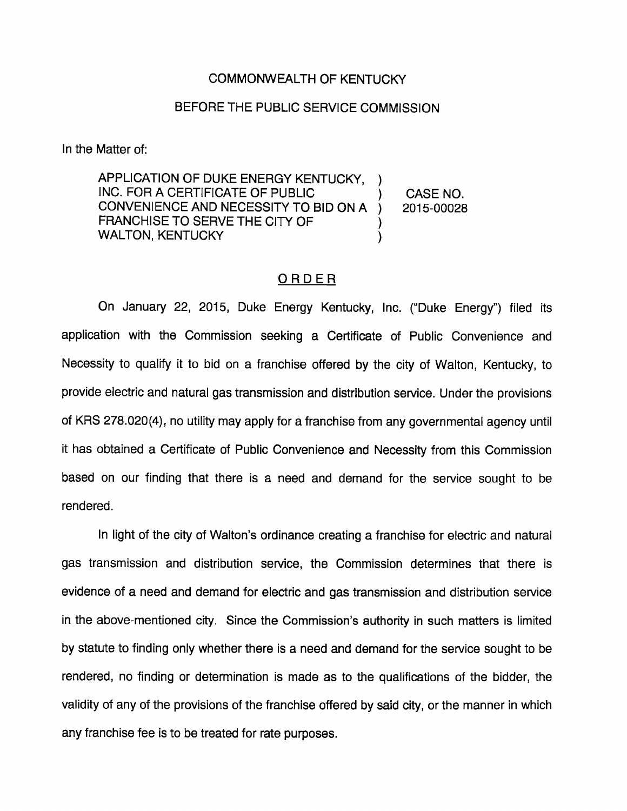## COMMONWEALTH OF KENTUCKY

## BEFORE THE PUBLIC SERVICE COMMISSION

In the Matter of:

APPLICATION OF DUKE ENERGY KENTUCKY, INC. FOR A CERTIFICATE OF PUBLIC CASE NO. CONVENIENCE AND NECESSITY TO BID ON A  $\lambda$ 2015-00028 FRANCHISE TO SERVE THE CITY OF WALTON, KENTUCKY  $\mathcal{E}$ 

## ORDER

On January 22, 2015, Duke Energy Kentucky, Inc. ("Duke Energy") filed Its application with the Commission seeking a Certificate of Public Convenience and Necessity to qualify it to bid on a franchise offered by the city of Walton, Kentucky, to provide electric and natural gas transmission and distribution service. Under the provisions of KRS 278.020(4), no utility may apply for a franchise from any governmental agency until it has obtained a Certificate of Public Convenience and Necessity from this Commission based on our finding that there is a need and demand for the service sought to be rendered.

In light of the city of Walton's ordinance creating a franchise for electric and natural gas transmission and distribution service, the Commission determines that there is evidence of a need and demand for electric and gas transmission and distribution service in the above-mentioned city. Since the Commission's authority in such matters is limited by statute to finding only whether there Is a need and demand for the service sought to be rendered, no finding or determination is made as to the qualifications of the bidder, the validity of any of the provisions of the franchise offered by said city, or the manner in which any franchise fee is to be treated for rate purposes.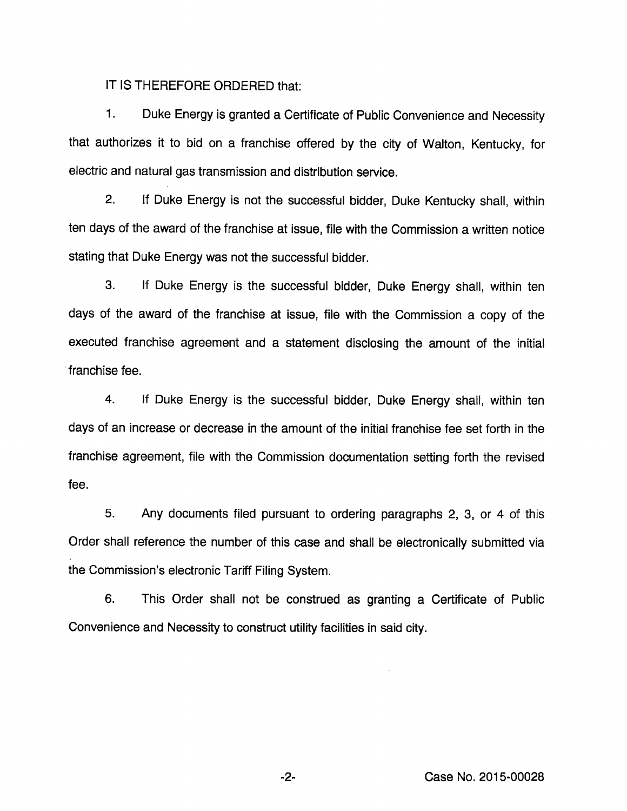## IT IS THEREFORE ORDERED that:

1. Duke Energy is granted a Certificate of Public Convenience and Necessity that authorizes it to bid on a franchise offered by the city of Walton, Kentucky, for electric and natural gas transmission and distribution service.

2. If Duke Energy is not the successful bidder. Duke Kentucky shall, within ten days of the award of the franchise at issue, file with the Commission a written notice stating that Duke Energy was not the successful bidder.

3. If Duke Energy is the successful bidder, Duke Energy shall, within ten days of the award of the franchise at issue, file with the Commission a copy of the executed franchise agreement and a statement disclosing the amount of the initial franchise fee.

4. If Duke Energy is the successful bidder. Duke Energy shall, within ten days of an increase or decrease in the amount of the initial franchise fee set forth in the franchise agreement, file with the Commission documentation setting forth the revised fee.

5. Any documents filed pursuant to ordering paragraphs 2, 3, or 4 of this Order shall reference the number of this case and shall be electronically submitted via the Commission's electronic Tariff Filing System.

6. This Order shall not be construed as granting a Certificate of Public Convenience and Necessity to construct utility facilities in said city.

-2- Case No. 2015-00028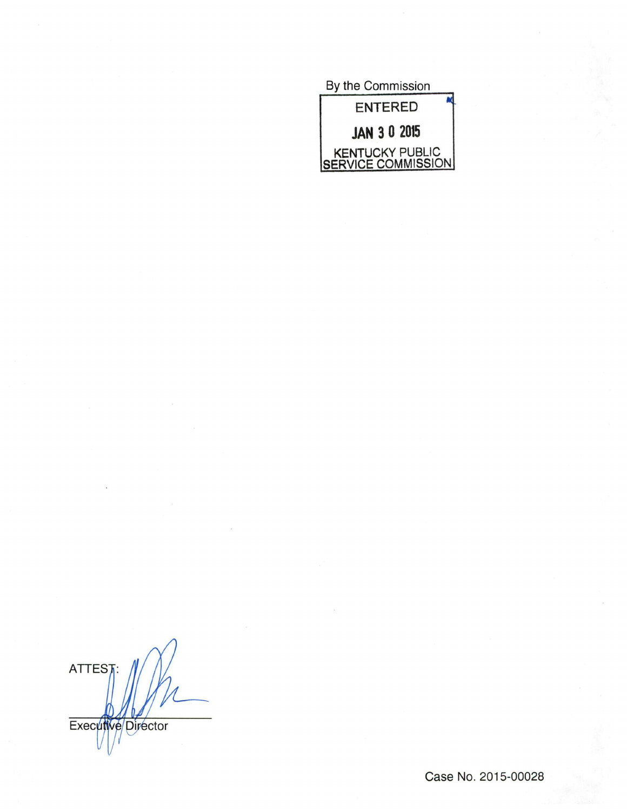By the Commission ENTERED JAN 3 0 2015 KENTUCKY PUBLIC SERVICE COMMISSION

**ATTEST** Executive Director